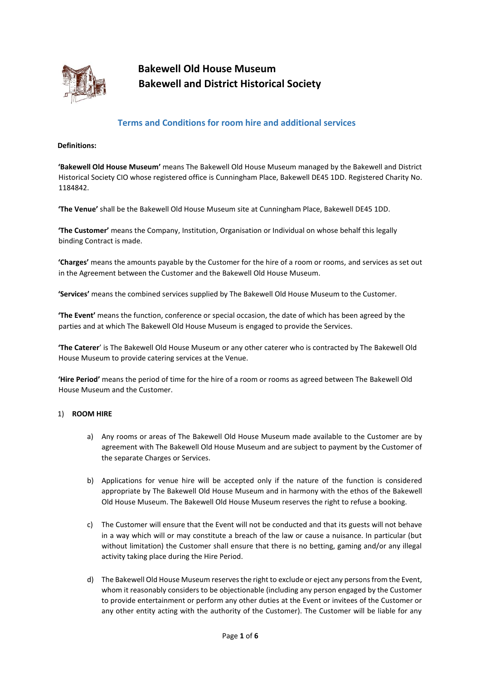

**Bakewell Old House Museum Bakewell and District Historical Society**

# **Terms and Conditions for room hire and additional services**

## **Definitions:**

**'Bakewell Old House Museum'** means The Bakewell Old House Museum managed by the Bakewell and District Historical Society CIO whose registered office is Cunningham Place, Bakewell DE45 1DD. Registered Charity No. 1184842.

**'The Venue'** shall be the Bakewell Old House Museum site at Cunningham Place, Bakewell DE45 1DD.

**'The Customer'** means the Company, Institution, Organisation or Individual on whose behalf this legally binding Contract is made.

**'Charges'** means the amounts payable by the Customer for the hire of a room or rooms, and services as set out in the Agreement between the Customer and the Bakewell Old House Museum.

**'Services'** means the combined services supplied by The Bakewell Old House Museum to the Customer.

**'The Event'** means the function, conference or special occasion, the date of which has been agreed by the parties and at which The Bakewell Old House Museum is engaged to provide the Services.

**'The Caterer**' is The Bakewell Old House Museum or any other caterer who is contracted by The Bakewell Old House Museum to provide catering services at the Venue.

**'Hire Period'** means the period of time for the hire of a room or rooms as agreed between The Bakewell Old House Museum and the Customer.

## 1) **ROOM HIRE**

- a) Any rooms or areas of The Bakewell Old House Museum made available to the Customer are by agreement with The Bakewell Old House Museum and are subject to payment by the Customer of the separate Charges or Services.
- b) Applications for venue hire will be accepted only if the nature of the function is considered appropriate by The Bakewell Old House Museum and in harmony with the ethos of the Bakewell Old House Museum. The Bakewell Old House Museum reserves the right to refuse a booking.
- c) The Customer will ensure that the Event will not be conducted and that its guests will not behave in a way which will or may constitute a breach of the law or cause a nuisance. In particular (but without limitation) the Customer shall ensure that there is no betting, gaming and/or any illegal activity taking place during the Hire Period.
- d) The Bakewell Old House Museum reserves the right to exclude or eject any persons from the Event, whom it reasonably considers to be objectionable (including any person engaged by the Customer to provide entertainment or perform any other duties at the Event or invitees of the Customer or any other entity acting with the authority of the Customer). The Customer will be liable for any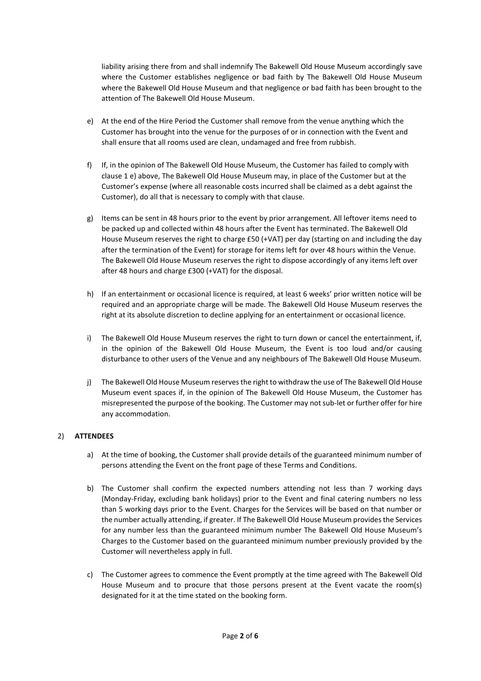liability arising there from and shall indemnify The Bakewell Old House Museum accordingly save where the Customer establishes negligence or bad faith by The Bakewell Old House Museum where the Bakewell Old House Museum and that negligence or bad faith has been brought to the attention of The Bakewell Old House Museum.

- e) At the end of the Hire Period the Customer shall remove from the venue anything which the Customer has brought into the venue for the purposes of or in connection with the Event and shall ensure that all rooms used are clean, undamaged and free from rubbish.
- f) If, in the opinion of The Bakewell Old House Museum, the Customer has failed to comply with clause 1 e) above, The Bakewell Old House Museum may, in place of the Customer but at the Customer's expense (where all reasonable costs incurred shall be claimed as a debt against the Customer), do all that is necessary to comply with that clause.
- g) Items can be sent in 48 hours prior to the event by prior arrangement. All leftover items need to be packed up and collected within 48 hours after the Event has terminated. The Bakewell Old House Museum reserves the right to charge £50 (+VAT) per day (starting on and including the day after the termination of the Event) for storage for items left for over 48 hours within the Venue. The Bakewell Old House Museum reserves the right to dispose accordingly of any items left over after 48 hours and charge £300 (+VAT) for the disposal.
- h) If an entertainment or occasional licence is required, at least 6 weeks' prior written notice will be required and an appropriate charge will be made. The Bakewell Old House Museum reserves the right at its absolute discretion to decline applying for an entertainment or occasional licence.
- i) The Bakewell Old House Museum reserves the right to turn down or cancel the entertainment, if, in the opinion of the Bakewell Old House Museum, the Event is too loud and/or causing disturbance to other users of the Venue and any neighbours of The Bakewell Old House Museum.
- j) The Bakewell Old House Museum reserves the right to withdraw the use of The Bakewell Old House Museum event spaces if, in the opinion of The Bakewell Old House Museum, the Customer has misrepresented the purpose of the booking. The Customer may not sub-let or further offer for hire any accommodation.

## 2) **ATTENDEES**

- a) At the time of booking, the Customer shall provide details of the guaranteed minimum number of persons attending the Event on the front page of these Terms and Conditions.
- b) The Customer shall confirm the expected numbers attending not less than 7 working days (Monday-Friday, excluding bank holidays) prior to the Event and final catering numbers no less than 5 working days prior to the Event. Charges for the Services will be based on that number or the number actually attending, if greater. If The Bakewell Old House Museum provides the Services for any number less than the guaranteed minimum number The Bakewell Old House Museum's Charges to the Customer based on the guaranteed minimum number previously provided by the Customer will nevertheless apply in full.
- c) The Customer agrees to commence the Event promptly at the time agreed with The Bakewell Old House Museum and to procure that those persons present at the Event vacate the room(s) designated for it at the time stated on the booking form.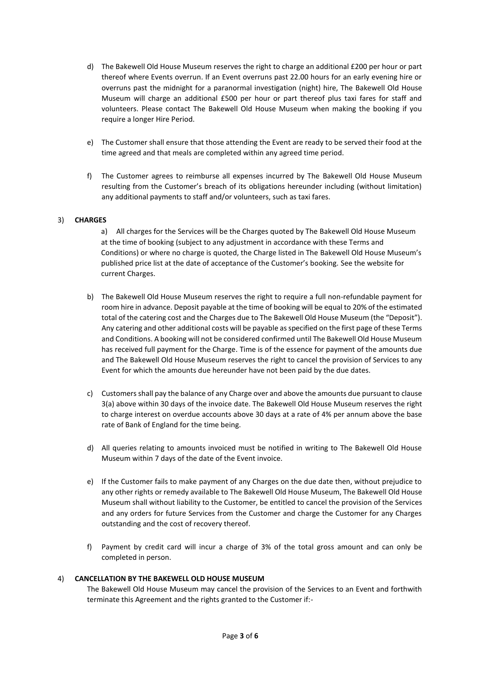- d) The Bakewell Old House Museum reserves the right to charge an additional £200 per hour or part thereof where Events overrun. If an Event overruns past 22.00 hours for an early evening hire or overruns past the midnight for a paranormal investigation (night) hire, The Bakewell Old House Museum will charge an additional £500 per hour or part thereof plus taxi fares for staff and volunteers. Please contact The Bakewell Old House Museum when making the booking if you require a longer Hire Period.
- e) The Customer shall ensure that those attending the Event are ready to be served their food at the time agreed and that meals are completed within any agreed time period.
- f) The Customer agrees to reimburse all expenses incurred by The Bakewell Old House Museum resulting from the Customer's breach of its obligations hereunder including (without limitation) any additional payments to staff and/or volunteers, such as taxi fares.

## 3) **CHARGES**

a) All charges for the Services will be the Charges quoted by The Bakewell Old House Museum at the time of booking (subject to any adjustment in accordance with these Terms and Conditions) or where no charge is quoted, the Charge listed in The Bakewell Old House Museum's published price list at the date of acceptance of the Customer's booking. See the website for current Charges.

- b) The Bakewell Old House Museum reserves the right to require a full non-refundable payment for room hire in advance. Deposit payable at the time of booking will be equal to 20% of the estimated total of the catering cost and the Charges due to The Bakewell Old House Museum (the "Deposit"). Any catering and other additional costs will be payable as specified on the first page of these Terms and Conditions. A booking will not be considered confirmed until The Bakewell Old House Museum has received full payment for the Charge. Time is of the essence for payment of the amounts due and The Bakewell Old House Museum reserves the right to cancel the provision of Services to any Event for which the amounts due hereunder have not been paid by the due dates.
- c) Customers shall pay the balance of any Charge over and above the amounts due pursuant to clause 3(a) above within 30 days of the invoice date. The Bakewell Old House Museum reserves the right to charge interest on overdue accounts above 30 days at a rate of 4% per annum above the base rate of Bank of England for the time being.
- d) All queries relating to amounts invoiced must be notified in writing to The Bakewell Old House Museum within 7 days of the date of the Event invoice.
- e) If the Customer fails to make payment of any Charges on the due date then, without prejudice to any other rights or remedy available to The Bakewell Old House Museum, The Bakewell Old House Museum shall without liability to the Customer, be entitled to cancel the provision of the Services and any orders for future Services from the Customer and charge the Customer for any Charges outstanding and the cost of recovery thereof.
- f) Payment by credit card will incur a charge of 3% of the total gross amount and can only be completed in person.

## 4) **CANCELLATION BY THE BAKEWELL OLD HOUSE MUSEUM**

The Bakewell Old House Museum may cancel the provision of the Services to an Event and forthwith terminate this Agreement and the rights granted to the Customer if:-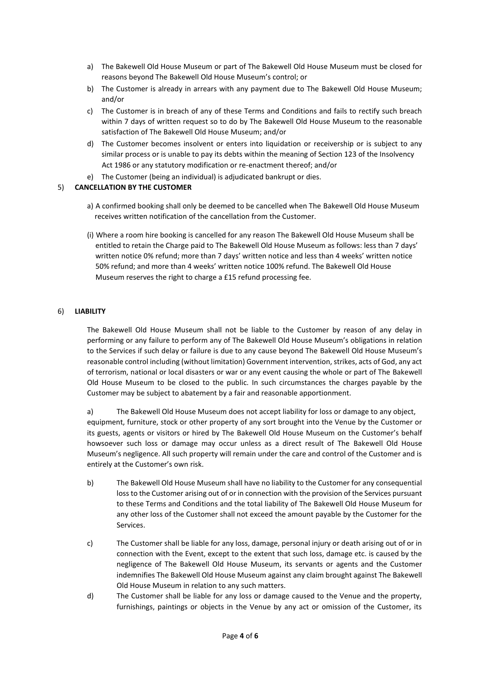- a) The Bakewell Old House Museum or part of The Bakewell Old House Museum must be closed for reasons beyond The Bakewell Old House Museum's control; or
- b) The Customer is already in arrears with any payment due to The Bakewell Old House Museum; and/or
- c) The Customer is in breach of any of these Terms and Conditions and fails to rectify such breach within 7 days of written request so to do by The Bakewell Old House Museum to the reasonable satisfaction of The Bakewell Old House Museum; and/or
- d) The Customer becomes insolvent or enters into liquidation or receivership or is subject to any similar process or is unable to pay its debts within the meaning of Section 123 of the Insolvency Act 1986 or any statutory modification or re-enactment thereof; and/or
- e) The Customer (being an individual) is adjudicated bankrupt or dies.

## 5) **CANCELLATION BY THE CUSTOMER**

- a) A confirmed booking shall only be deemed to be cancelled when The Bakewell Old House Museum receives written notification of the cancellation from the Customer.
- (i) Where a room hire booking is cancelled for any reason The Bakewell Old House Museum shall be entitled to retain the Charge paid to The Bakewell Old House Museum as follows: less than 7 days' written notice 0% refund; more than 7 days' written notice and less than 4 weeks' written notice 50% refund; and more than 4 weeks' written notice 100% refund. The Bakewell Old House Museum reserves the right to charge a £15 refund processing fee.

## 6) **LIABILITY**

The Bakewell Old House Museum shall not be liable to the Customer by reason of any delay in performing or any failure to perform any of The Bakewell Old House Museum's obligations in relation to the Services if such delay or failure is due to any cause beyond The Bakewell Old House Museum's reasonable control including (without limitation) Government intervention, strikes, acts of God, any act of terrorism, national or local disasters or war or any event causing the whole or part of The Bakewell Old House Museum to be closed to the public. In such circumstances the charges payable by the Customer may be subject to abatement by a fair and reasonable apportionment.

a) The Bakewell Old House Museum does not accept liability for loss or damage to any object, equipment, furniture, stock or other property of any sort brought into the Venue by the Customer or its guests, agents or visitors or hired by The Bakewell Old House Museum on the Customer's behalf howsoever such loss or damage may occur unless as a direct result of The Bakewell Old House Museum's negligence. All such property will remain under the care and control of the Customer and is entirely at the Customer's own risk.

- b) The Bakewell Old House Museum shall have no liability to the Customer for any consequential loss to the Customer arising out of or in connection with the provision of the Services pursuant to these Terms and Conditions and the total liability of The Bakewell Old House Museum for any other loss of the Customer shall not exceed the amount payable by the Customer for the Services.
- c) The Customer shall be liable for any loss, damage, personal injury or death arising out of or in connection with the Event, except to the extent that such loss, damage etc. is caused by the negligence of The Bakewell Old House Museum, its servants or agents and the Customer indemnifies The Bakewell Old House Museum against any claim brought against The Bakewell Old House Museum in relation to any such matters.
- d) The Customer shall be liable for any loss or damage caused to the Venue and the property, furnishings, paintings or objects in the Venue by any act or omission of the Customer, its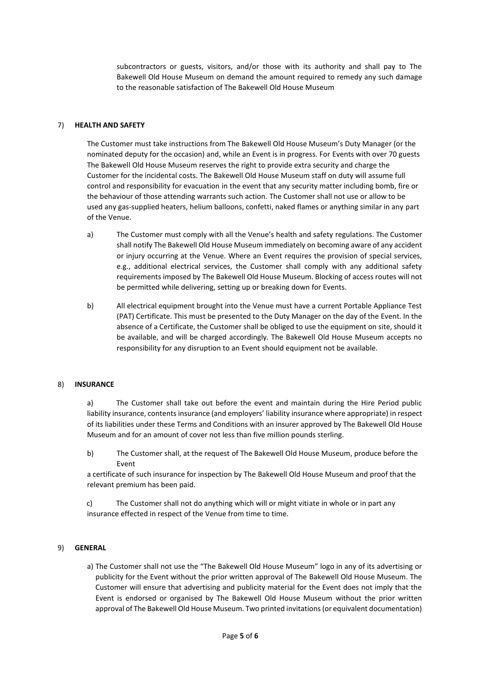subcontractors or guests, visitors, and/or those with its authority and shall pay to The Bakewell Old House Museum on demand the amount required to remedy any such damage to the reasonable satisfaction of The Bakewell Old House Museum

## 7) **HEALTH AND SAFETY**

The Customer must take instructions from The Bakewell Old House Museum's Duty Manager (or the nominated deputy for the occasion) and, while an Event is in progress. For Events with over 70 guests The Bakewell Old House Museum reserves the right to provide extra security and charge the Customer for the incidental costs. The Bakewell Old House Museum staff on duty will assume full control and responsibility for evacuation in the event that any security matter including bomb, fire or the behaviour of those attending warrants such action. The Customer shall not use or allow to be used any gas-supplied heaters, helium balloons, confetti, naked flames or anything similar in any part of the Venue.

- a) The Customer must comply with all the Venue's health and safety regulations. The Customer shall notify The Bakewell Old House Museum immediately on becoming aware of any accident or injury occurring at the Venue. Where an Event requires the provision of special services, e.g., additional electrical services, the Customer shall comply with any additional safety requirements imposed by The Bakewell Old House Museum. Blocking of access routes will not be permitted while delivering, setting up or breaking down for Events.
- b) All electrical equipment brought into the Venue must have a current Portable Appliance Test (PAT) Certificate. This must be presented to the Duty Manager on the day of the Event. In the absence of a Certificate, the Customer shall be obliged to use the equipment on site, should it be available, and will be charged accordingly. The Bakewell Old House Museum accepts no responsibility for any disruption to an Event should equipment not be available.

## 8) **INSURANCE**

a) The Customer shall take out before the event and maintain during the Hire Period public liability insurance, contents insurance (and employers' liability insurance where appropriate) in respect of its liabilities under these Terms and Conditions with an insurer approved by The Bakewell Old House Museum and for an amount of cover not less than five million pounds sterling.

b) The Customer shall, at the request of The Bakewell Old House Museum, produce before the Event

a certificate of such insurance for inspection by The Bakewell Old House Museum and proof that the relevant premium has been paid.

c) The Customer shall not do anything which will or might vitiate in whole or in part any insurance effected in respect of the Venue from time to time.

## 9) **GENERAL**

a) The Customer shall not use the "The Bakewell Old House Museum" logo in any of its advertising or publicity for the Event without the prior written approval of The Bakewell Old House Museum. The Customer will ensure that advertising and publicity material for the Event does not imply that the Event is endorsed or organised by The Bakewell Old House Museum without the prior written approval of The Bakewell Old House Museum. Two printed invitations (or equivalent documentation)